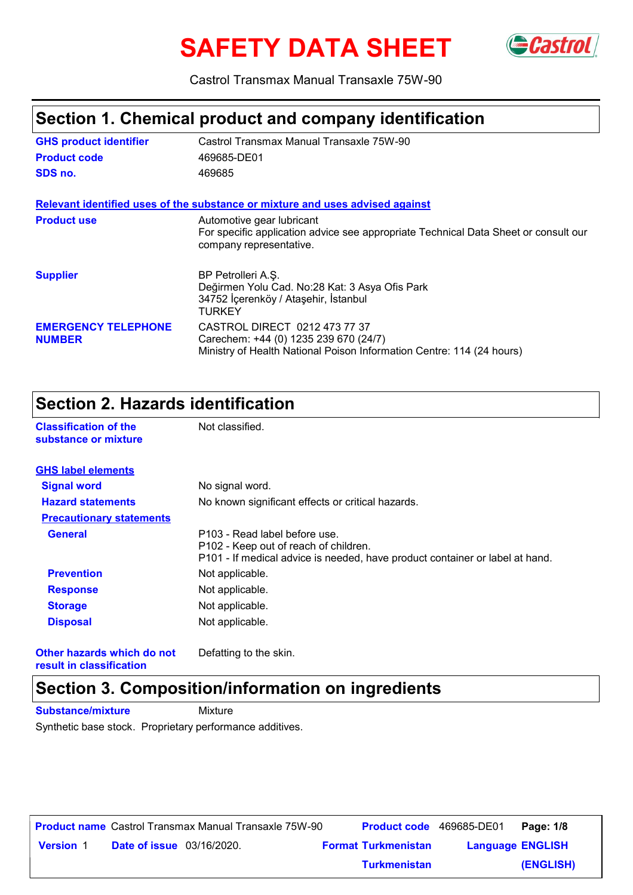# **SAFETY DATA SHEET**



Castrol Transmax Manual Transaxle 75W-90

### **Section 1. Chemical product and company identification**

| <b>GHS product identifier</b>               | Castrol Transmax Manual Transaxle 75W-90                                                                                                        |
|---------------------------------------------|-------------------------------------------------------------------------------------------------------------------------------------------------|
| <b>Product code</b>                         | 469685-DE01                                                                                                                                     |
| SDS no.                                     | 469685                                                                                                                                          |
|                                             | Relevant identified uses of the substance or mixture and uses advised against                                                                   |
| <b>Product use</b>                          | Automotive gear lubricant<br>For specific application advice see appropriate Technical Data Sheet or consult our<br>company representative.     |
| <b>Supplier</b>                             | BP Petrolleri A.Ş.<br>Değirmen Yolu Cad. No:28 Kat: 3 Asya Ofis Park<br>34752 İçerenköy / Ataşehir, İstanbul<br>TURKEY                          |
| <b>EMERGENCY TELEPHONE</b><br><b>NUMBER</b> | CASTROL DIRECT 0212 473 77 37<br>Carechem: +44 (0) 1235 239 670 (24/7)<br>Ministry of Health National Poison Information Centre: 114 (24 hours) |

#### **Section 2. Hazards identification**

**Classification of the Mot classified.** 

| substance or mixture            |                                                                                                                                                        |
|---------------------------------|--------------------------------------------------------------------------------------------------------------------------------------------------------|
| <b>GHS label elements</b>       |                                                                                                                                                        |
| <b>Signal word</b>              | No signal word.                                                                                                                                        |
| <b>Hazard statements</b>        | No known significant effects or critical hazards.                                                                                                      |
| <b>Precautionary statements</b> |                                                                                                                                                        |
| <b>General</b>                  | P103 - Read label before use.<br>P102 - Keep out of reach of children.<br>P101 - If medical advice is needed, have product container or label at hand. |
| <b>Prevention</b>               | Not applicable.                                                                                                                                        |
| <b>Response</b>                 | Not applicable.                                                                                                                                        |
| <b>Storage</b>                  | Not applicable.                                                                                                                                        |
| <b>Disposal</b>                 | Not applicable.                                                                                                                                        |

**Other hazards which do not result in classification**

Defatting to the skin.

# **Section 3. Composition/information on ingredients**

**Substance/mixture Mixture** 

Synthetic base stock. Proprietary performance additives.

|                  |                                  | <b>Product name</b> Castrol Transmax Manual Transaxle 75W-90 | <b>Product code</b> 469685-DE01 |                         | Page: 1/8 |
|------------------|----------------------------------|--------------------------------------------------------------|---------------------------------|-------------------------|-----------|
| <b>Version 1</b> | <b>Date of issue</b> 03/16/2020. |                                                              | <b>Format Turkmenistan</b>      | <b>Language ENGLISH</b> |           |
|                  |                                  |                                                              | <b>Turkmenistan</b>             |                         | (ENGLISH) |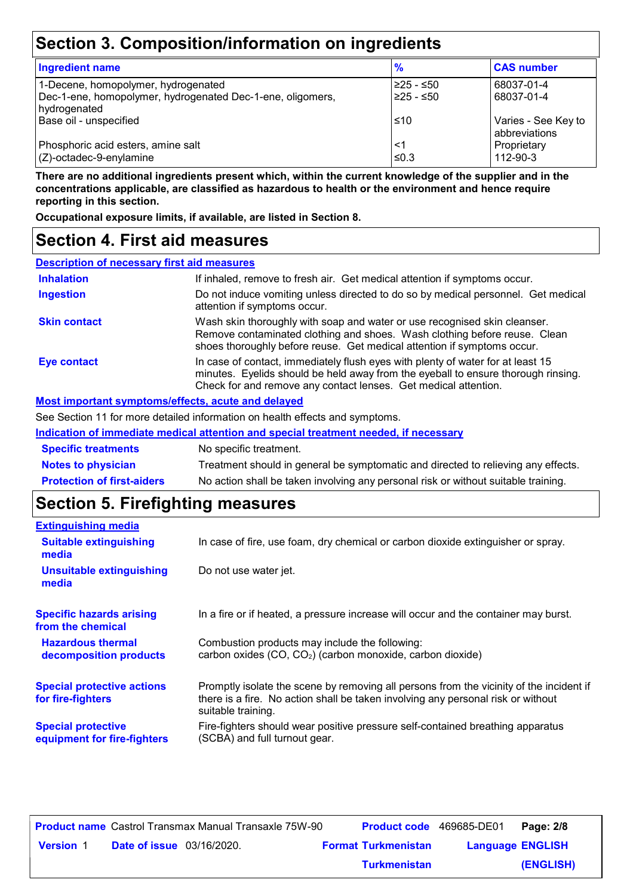# **Section 3. Composition/information on ingredients**

| <b>Ingredient name</b>                                                     | %          | <b>CAS number</b>                    |
|----------------------------------------------------------------------------|------------|--------------------------------------|
| 1-Decene, homopolymer, hydrogenated                                        | 225 - ≤50  | 68037-01-4                           |
| Dec-1-ene, homopolymer, hydrogenated Dec-1-ene, oligomers,<br>hydrogenated | 225 - ≤50  | 68037-01-4                           |
| Base oil - unspecified                                                     | ≤10        | Varies - See Key to<br>abbreviations |
| Phosphoric acid esters, amine salt<br>$(Z)$ -octadec-9-enylamine           | <1<br>≤0.3 | Proprietary<br>112-90-3              |

**There are no additional ingredients present which, within the current knowledge of the supplier and in the concentrations applicable, are classified as hazardous to health or the environment and hence require reporting in this section.**

**Occupational exposure limits, if available, are listed in Section 8.**

#### **Section 4. First aid measures**

| <b>Description of necessary first aid measures</b> |                                                                                                                                                                                                                                         |
|----------------------------------------------------|-----------------------------------------------------------------------------------------------------------------------------------------------------------------------------------------------------------------------------------------|
| <b>Inhalation</b>                                  | If inhaled, remove to fresh air. Get medical attention if symptoms occur.                                                                                                                                                               |
| <b>Ingestion</b>                                   | Do not induce vomiting unless directed to do so by medical personnel. Get medical<br>attention if symptoms occur.                                                                                                                       |
| <b>Skin contact</b>                                | Wash skin thoroughly with soap and water or use recognised skin cleanser.<br>Remove contaminated clothing and shoes. Wash clothing before reuse. Clean<br>shoes thoroughly before reuse. Get medical attention if symptoms occur.       |
| <b>Eye contact</b>                                 | In case of contact, immediately flush eyes with plenty of water for at least 15<br>minutes. Eyelids should be held away from the eyeball to ensure thorough rinsing.<br>Check for and remove any contact lenses. Get medical attention. |
| Most important symptoms/effects, acute and delayed |                                                                                                                                                                                                                                         |

See Section 11 for more detailed information on health effects and symptoms.

| Indication of immediate medical attention and special treatment needed, if necessary |                                                                                    |  |
|--------------------------------------------------------------------------------------|------------------------------------------------------------------------------------|--|
| <b>Specific treatments</b>                                                           | No specific treatment.                                                             |  |
| <b>Notes to physician</b>                                                            | Treatment should in general be symptomatic and directed to relieving any effects.  |  |
| <b>Protection of first-aiders</b>                                                    | No action shall be taken involving any personal risk or without suitable training. |  |

# **Section 5. Firefighting measures**

| <b>Extinguishing media</b>                               |                                                                                                                                                                                                   |
|----------------------------------------------------------|---------------------------------------------------------------------------------------------------------------------------------------------------------------------------------------------------|
| <b>Suitable extinguishing</b><br>media                   | In case of fire, use foam, dry chemical or carbon dioxide extinguisher or spray.                                                                                                                  |
| <b>Unsuitable extinguishing</b><br>media                 | Do not use water jet.                                                                                                                                                                             |
| <b>Specific hazards arising</b><br>from the chemical     | In a fire or if heated, a pressure increase will occur and the container may burst.                                                                                                               |
| <b>Hazardous thermal</b><br>decomposition products       | Combustion products may include the following:<br>carbon oxides (CO, CO <sub>2</sub> ) (carbon monoxide, carbon dioxide)                                                                          |
| <b>Special protective actions</b><br>for fire-fighters   | Promptly isolate the scene by removing all persons from the vicinity of the incident if<br>there is a fire. No action shall be taken involving any personal risk or without<br>suitable training. |
| <b>Special protective</b><br>equipment for fire-fighters | Fire-fighters should wear positive pressure self-contained breathing apparatus<br>(SCBA) and full turnout gear.                                                                                   |

|                  |                                  | <b>Product name</b> Castrol Transmax Manual Transaxle 75W-90 | <b>Product code</b> 469685-DE01 |                         | Page: 2/8 |
|------------------|----------------------------------|--------------------------------------------------------------|---------------------------------|-------------------------|-----------|
| <b>Version 1</b> | <b>Date of issue</b> 03/16/2020. |                                                              | <b>Format Turkmenistan</b>      | <b>Language ENGLISH</b> |           |
|                  |                                  |                                                              | <b>Turkmenistan</b>             |                         | (ENGLISH) |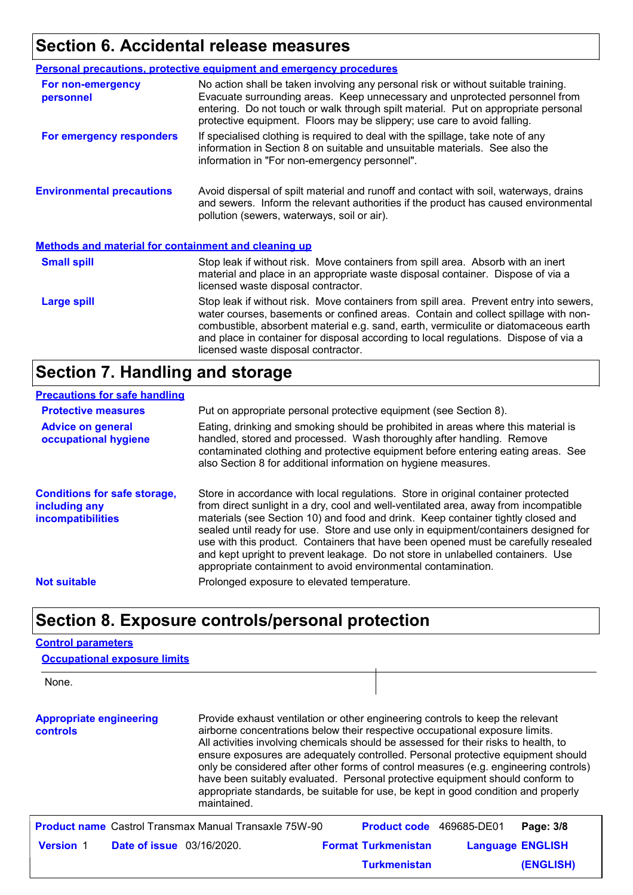# **Section 6. Accidental release measures**

|                                                             | <b>Personal precautions, protective equipment and emergency procedures</b>                                                                                                                                                                                                                                                                                                                         |
|-------------------------------------------------------------|----------------------------------------------------------------------------------------------------------------------------------------------------------------------------------------------------------------------------------------------------------------------------------------------------------------------------------------------------------------------------------------------------|
| For non-emergency<br>personnel                              | No action shall be taken involving any personal risk or without suitable training.<br>Evacuate surrounding areas. Keep unnecessary and unprotected personnel from<br>entering. Do not touch or walk through spilt material. Put on appropriate personal<br>protective equipment. Floors may be slippery; use care to avoid falling.                                                                |
| For emergency responders                                    | If specialised clothing is required to deal with the spillage, take note of any<br>information in Section 8 on suitable and unsuitable materials. See also the<br>information in "For non-emergency personnel".                                                                                                                                                                                    |
| <b>Environmental precautions</b>                            | Avoid dispersal of spilt material and runoff and contact with soil, waterways, drains<br>and sewers. Inform the relevant authorities if the product has caused environmental<br>pollution (sewers, waterways, soil or air).                                                                                                                                                                        |
| <b>Methods and material for containment and cleaning up</b> |                                                                                                                                                                                                                                                                                                                                                                                                    |
| <b>Small spill</b>                                          | Stop leak if without risk. Move containers from spill area. Absorb with an inert<br>material and place in an appropriate waste disposal container. Dispose of via a<br>licensed waste disposal contractor.                                                                                                                                                                                         |
| <b>Large spill</b>                                          | Stop leak if without risk. Move containers from spill area. Prevent entry into sewers,<br>water courses, basements or confined areas. Contain and collect spillage with non-<br>combustible, absorbent material e.g. sand, earth, vermiculite or diatomaceous earth<br>and place in container for disposal according to local regulations. Dispose of via a<br>licensed waste disposal contractor. |

# **Section 7. Handling and storage**

#### **Precautions for safe handling**

| <b>Protective measures</b><br><b>Advice on general</b><br>occupational hygiene   | Put on appropriate personal protective equipment (see Section 8).<br>Eating, drinking and smoking should be prohibited in areas where this material is<br>handled, stored and processed. Wash thoroughly after handling. Remove<br>contaminated clothing and protective equipment before entering eating areas. See<br>also Section 8 for additional information on hygiene measures.                                                                                                                                                                                                          |
|----------------------------------------------------------------------------------|------------------------------------------------------------------------------------------------------------------------------------------------------------------------------------------------------------------------------------------------------------------------------------------------------------------------------------------------------------------------------------------------------------------------------------------------------------------------------------------------------------------------------------------------------------------------------------------------|
| <b>Conditions for safe storage,</b><br>including any<br><b>incompatibilities</b> | Store in accordance with local regulations. Store in original container protected<br>from direct sunlight in a dry, cool and well-ventilated area, away from incompatible<br>materials (see Section 10) and food and drink. Keep container tightly closed and<br>sealed until ready for use. Store and use only in equipment/containers designed for<br>use with this product. Containers that have been opened must be carefully resealed<br>and kept upright to prevent leakage. Do not store in unlabelled containers. Use<br>appropriate containment to avoid environmental contamination. |
| <b>Not suitable</b>                                                              | Prolonged exposure to elevated temperature.                                                                                                                                                                                                                                                                                                                                                                                                                                                                                                                                                    |

### **Section 8. Exposure controls/personal protection**

#### **Control parameters**

| <b>Occupational exposure limits</b>                          |                                                                                                                                                                                                                                                                                                                                                                                                                                                                                                                                                                                                                         |                            |             |                         |
|--------------------------------------------------------------|-------------------------------------------------------------------------------------------------------------------------------------------------------------------------------------------------------------------------------------------------------------------------------------------------------------------------------------------------------------------------------------------------------------------------------------------------------------------------------------------------------------------------------------------------------------------------------------------------------------------------|----------------------------|-------------|-------------------------|
| None.                                                        |                                                                                                                                                                                                                                                                                                                                                                                                                                                                                                                                                                                                                         |                            |             |                         |
| <b>Appropriate engineering</b><br>controls                   | Provide exhaust ventilation or other engineering controls to keep the relevant<br>airborne concentrations below their respective occupational exposure limits.<br>All activities involving chemicals should be assessed for their risks to health, to<br>ensure exposures are adequately controlled. Personal protective equipment should<br>only be considered after other forms of control measures (e.g. engineering controls)<br>have been suitably evaluated. Personal protective equipment should conform to<br>appropriate standards, be suitable for use, be kept in good condition and properly<br>maintained. |                            |             |                         |
| <b>Product name</b> Castrol Transmax Manual Transaxle 75W-90 |                                                                                                                                                                                                                                                                                                                                                                                                                                                                                                                                                                                                                         | <b>Product code</b>        | 469685-DE01 | Page: 3/8               |
| <b>Version 1</b><br><b>Date of issue</b> 03/16/2020.         |                                                                                                                                                                                                                                                                                                                                                                                                                                                                                                                                                                                                                         | <b>Format Turkmenistan</b> |             | <b>Language ENGLISH</b> |
|                                                              |                                                                                                                                                                                                                                                                                                                                                                                                                                                                                                                                                                                                                         | <b>Turkmenistan</b>        |             | <b>(ENGLISH)</b>        |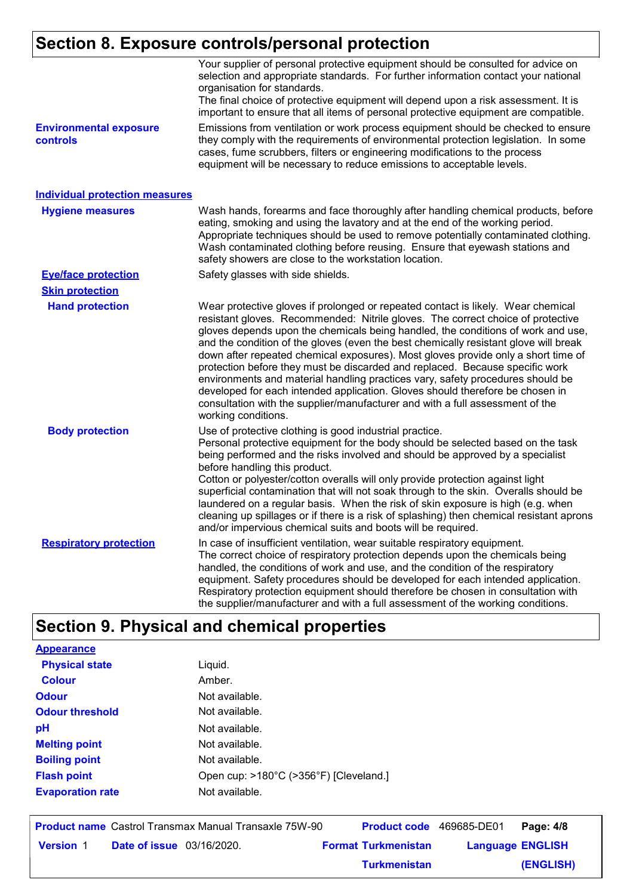# **Section 8. Exposure controls/personal protection**

|                                           | Your supplier of personal protective equipment should be consulted for advice on<br>selection and appropriate standards. For further information contact your national<br>organisation for standards.<br>The final choice of protective equipment will depend upon a risk assessment. It is<br>important to ensure that all items of personal protective equipment are compatible.                                                                                                                                                                                                                                                                                                                                                                                                              |
|-------------------------------------------|-------------------------------------------------------------------------------------------------------------------------------------------------------------------------------------------------------------------------------------------------------------------------------------------------------------------------------------------------------------------------------------------------------------------------------------------------------------------------------------------------------------------------------------------------------------------------------------------------------------------------------------------------------------------------------------------------------------------------------------------------------------------------------------------------|
| <b>Environmental exposure</b><br>controls | Emissions from ventilation or work process equipment should be checked to ensure<br>they comply with the requirements of environmental protection legislation. In some<br>cases, fume scrubbers, filters or engineering modifications to the process<br>equipment will be necessary to reduce emissions to acceptable levels.                                                                                                                                                                                                                                                                                                                                                                                                                                                                   |
| <b>Individual protection measures</b>     |                                                                                                                                                                                                                                                                                                                                                                                                                                                                                                                                                                                                                                                                                                                                                                                                 |
| <b>Hygiene measures</b>                   | Wash hands, forearms and face thoroughly after handling chemical products, before<br>eating, smoking and using the lavatory and at the end of the working period.<br>Appropriate techniques should be used to remove potentially contaminated clothing.<br>Wash contaminated clothing before reusing. Ensure that eyewash stations and<br>safety showers are close to the workstation location.                                                                                                                                                                                                                                                                                                                                                                                                 |
| <b>Eye/face protection</b>                | Safety glasses with side shields.                                                                                                                                                                                                                                                                                                                                                                                                                                                                                                                                                                                                                                                                                                                                                               |
| <b>Skin protection</b>                    |                                                                                                                                                                                                                                                                                                                                                                                                                                                                                                                                                                                                                                                                                                                                                                                                 |
| <b>Hand protection</b>                    | Wear protective gloves if prolonged or repeated contact is likely. Wear chemical<br>resistant gloves. Recommended: Nitrile gloves. The correct choice of protective<br>gloves depends upon the chemicals being handled, the conditions of work and use,<br>and the condition of the gloves (even the best chemically resistant glove will break<br>down after repeated chemical exposures). Most gloves provide only a short time of<br>protection before they must be discarded and replaced. Because specific work<br>environments and material handling practices vary, safety procedures should be<br>developed for each intended application. Gloves should therefore be chosen in<br>consultation with the supplier/manufacturer and with a full assessment of the<br>working conditions. |
| <b>Body protection</b>                    | Use of protective clothing is good industrial practice.<br>Personal protective equipment for the body should be selected based on the task<br>being performed and the risks involved and should be approved by a specialist<br>before handling this product.<br>Cotton or polyester/cotton overalls will only provide protection against light<br>superficial contamination that will not soak through to the skin. Overalls should be<br>laundered on a regular basis. When the risk of skin exposure is high (e.g. when<br>cleaning up spillages or if there is a risk of splashing) then chemical resistant aprons<br>and/or impervious chemical suits and boots will be required.                                                                                                           |
| <b>Respiratory protection</b>             | In case of insufficient ventilation, wear suitable respiratory equipment.<br>The correct choice of respiratory protection depends upon the chemicals being<br>handled, the conditions of work and use, and the condition of the respiratory<br>equipment. Safety procedures should be developed for each intended application.<br>Respiratory protection equipment should therefore be chosen in consultation with<br>the supplier/manufacturer and with a full assessment of the working conditions.                                                                                                                                                                                                                                                                                           |

# **Section 9. Physical and chemical properties**

| <b>Appearance</b>       |                                        |
|-------------------------|----------------------------------------|
| <b>Physical state</b>   | Liquid.                                |
| <b>Colour</b>           | Amber.                                 |
| <b>Odour</b>            | Not available.                         |
| <b>Odour threshold</b>  | Not available.                         |
| рH                      | Not available.                         |
| <b>Melting point</b>    | Not available.                         |
| <b>Boiling point</b>    | Not available.                         |
| <b>Flash point</b>      | Open cup: >180°C (>356°F) [Cleveland.] |
| <b>Evaporation rate</b> | Not available.                         |
|                         |                                        |

**Date of issue** 03/16/2020. **Version** 1 **Format Turkmenistan Language Product name** Castrol Transmax Manual Transaxle 75W-90 **Product code** 469685-DE01 **Page: 4/8** | **Language ENGLISH (ENGLISH)** Product code 469685-DE01 Page: 4/8 **Turkmenistan**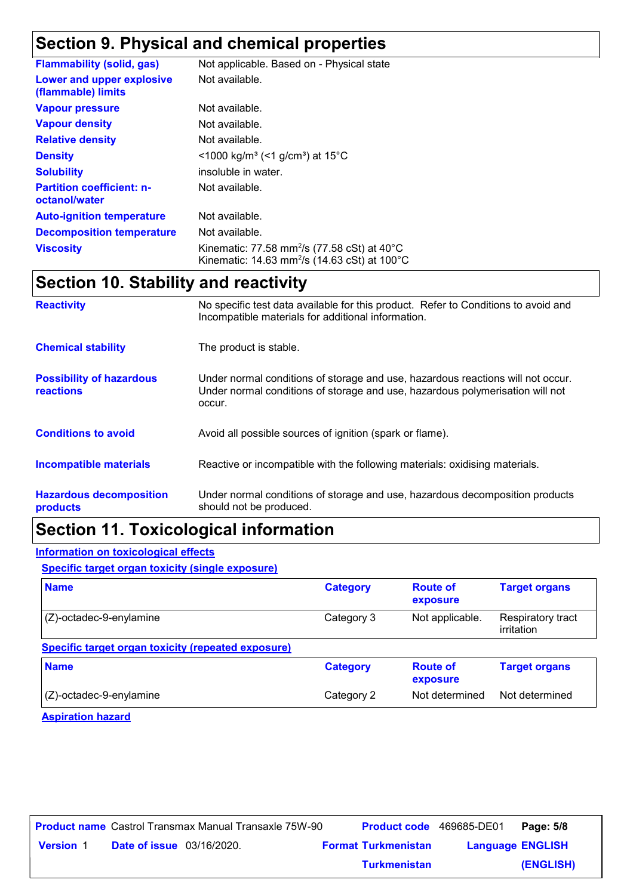# **Section 9. Physical and chemical properties**

| <b>Flammability (solid, gas)</b>                  | Not applicable. Based on - Physical state                                                                                                |
|---------------------------------------------------|------------------------------------------------------------------------------------------------------------------------------------------|
| Lower and upper explosive<br>(flammable) limits   | Not available.                                                                                                                           |
| <b>Vapour pressure</b>                            | Not available.                                                                                                                           |
| <b>Vapour density</b>                             | Not available.                                                                                                                           |
| <b>Relative density</b>                           | Not available.                                                                                                                           |
| <b>Density</b>                                    | <1000 kg/m <sup>3</sup> (<1 g/cm <sup>3</sup> ) at 15 <sup>°</sup> C                                                                     |
| <b>Solubility</b>                                 | insoluble in water.                                                                                                                      |
| <b>Partition coefficient: n-</b><br>octanol/water | Not available.                                                                                                                           |
| <b>Auto-ignition temperature</b>                  | Not available.                                                                                                                           |
| <b>Decomposition temperature</b>                  | Not available.                                                                                                                           |
| <b>Viscosity</b>                                  | Kinematic: 77.58 mm <sup>2</sup> /s (77.58 cSt) at $40^{\circ}$ C<br>Kinematic: 14.63 mm <sup>2</sup> /s (14.63 cSt) at 100 $^{\circ}$ C |

# **Section 10. Stability and reactivity**

| <b>Reactivity</b>                            | No specific test data available for this product. Refer to Conditions to avoid and<br>Incompatible materials for additional information.                                   |
|----------------------------------------------|----------------------------------------------------------------------------------------------------------------------------------------------------------------------------|
| <b>Chemical stability</b>                    | The product is stable.                                                                                                                                                     |
| <b>Possibility of hazardous</b><br>reactions | Under normal conditions of storage and use, hazardous reactions will not occur.<br>Under normal conditions of storage and use, hazardous polymerisation will not<br>occur. |
| <b>Conditions to avoid</b>                   | Avoid all possible sources of ignition (spark or flame).                                                                                                                   |
| <b>Incompatible materials</b>                | Reactive or incompatible with the following materials: oxidising materials.                                                                                                |
| <b>Hazardous decomposition</b><br>products   | Under normal conditions of storage and use, hazardous decomposition products<br>should not be produced.                                                                    |

# **Section 11. Toxicological information**

#### **Information on toxicological effects**

**Specific target organ toxicity (single exposure)**

| <b>Name</b>                                        | <b>Category</b> | <b>Route of</b><br>exposure | <b>Target organs</b>            |
|----------------------------------------------------|-----------------|-----------------------------|---------------------------------|
| $(Z)$ -octadec-9-enylamine                         | Category 3      | Not applicable.             | Respiratory tract<br>irritation |
| Specific target organ toxicity (repeated exposure) |                 |                             |                                 |
| <b>Name</b>                                        | <b>Category</b> | <b>Route of</b><br>exposure | <b>Target organs</b>            |
| $(Z)$ -octadec-9-enylamine                         | Category 2      | Not determined              | Not determined                  |

**Aspiration hazard**

|                  |                                  | <b>Product name</b> Castrol Transmax Manual Transaxle 75W-90 |                            | <b>Product code</b> 469685-DE01 | Page: 5/8 |
|------------------|----------------------------------|--------------------------------------------------------------|----------------------------|---------------------------------|-----------|
| <b>Version 1</b> | <b>Date of issue</b> 03/16/2020. |                                                              | <b>Format Turkmenistan</b> | <b>Language ENGLISH</b>         |           |
|                  |                                  |                                                              | <b>Turkmenistan</b>        |                                 | (ENGLISH) |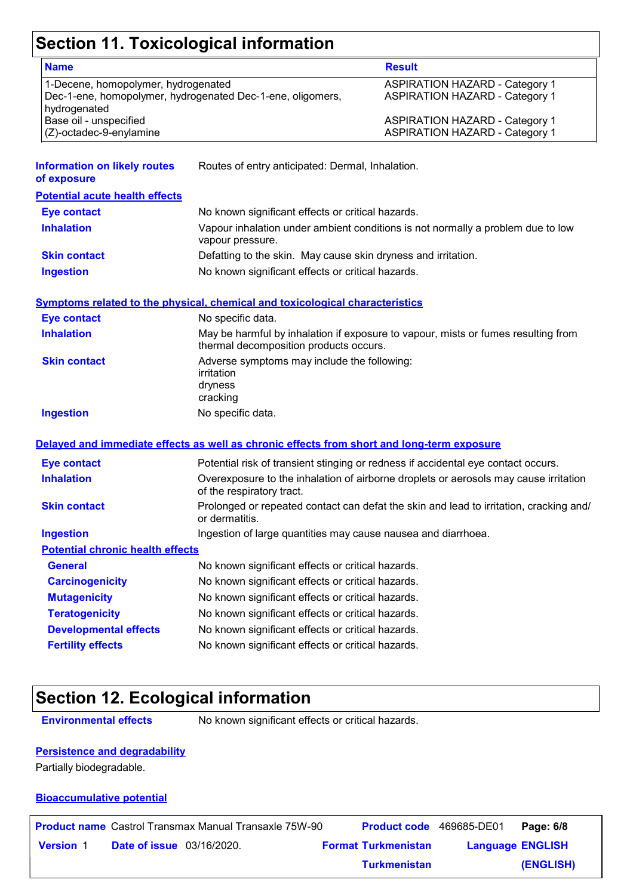# **Section 11. Toxicological information**

| <b>Name</b>                                                |                                                                                            | <b>Result</b>                                                                          |
|------------------------------------------------------------|--------------------------------------------------------------------------------------------|----------------------------------------------------------------------------------------|
| 1-Decene, homopolymer, hydrogenated                        |                                                                                            | <b>ASPIRATION HAZARD - Category 1</b>                                                  |
| Dec-1-ene, homopolymer, hydrogenated Dec-1-ene, oligomers, |                                                                                            | <b>ASPIRATION HAZARD - Category 1</b>                                                  |
| hydrogenated                                               |                                                                                            |                                                                                        |
| Base oil - unspecified                                     |                                                                                            | <b>ASPIRATION HAZARD - Category 1</b>                                                  |
| (Z)-octadec-9-enylamine                                    |                                                                                            | <b>ASPIRATION HAZARD - Category 1</b>                                                  |
| <b>Information on likely routes</b>                        |                                                                                            |                                                                                        |
| of exposure                                                | Routes of entry anticipated: Dermal, Inhalation.                                           |                                                                                        |
| <b>Potential acute health effects</b>                      |                                                                                            |                                                                                        |
| <b>Eye contact</b>                                         | No known significant effects or critical hazards.                                          |                                                                                        |
| <b>Inhalation</b>                                          | vapour pressure.                                                                           | Vapour inhalation under ambient conditions is not normally a problem due to low        |
| <b>Skin contact</b>                                        | Defatting to the skin. May cause skin dryness and irritation.                              |                                                                                        |
| <b>Ingestion</b>                                           | No known significant effects or critical hazards.                                          |                                                                                        |
|                                                            | <b>Symptoms related to the physical, chemical and toxicological characteristics</b>        |                                                                                        |
| <b>Eye contact</b>                                         | No specific data.                                                                          |                                                                                        |
| <b>Inhalation</b>                                          | thermal decomposition products occurs.                                                     | May be harmful by inhalation if exposure to vapour, mists or fumes resulting from      |
| <b>Skin contact</b>                                        | Adverse symptoms may include the following:                                                |                                                                                        |
|                                                            | irritation                                                                                 |                                                                                        |
|                                                            | dryness                                                                                    |                                                                                        |
|                                                            | cracking                                                                                   |                                                                                        |
| <b>Ingestion</b>                                           | No specific data.                                                                          |                                                                                        |
|                                                            | Delayed and immediate effects as well as chronic effects from short and long-term exposure |                                                                                        |
| <b>Eye contact</b>                                         |                                                                                            | Potential risk of transient stinging or redness if accidental eye contact occurs.      |
| <b>Inhalation</b>                                          | of the respiratory tract.                                                                  | Overexposure to the inhalation of airborne droplets or aerosols may cause irritation   |
| <b>Skin contact</b>                                        | or dermatitis.                                                                             | Prolonged or repeated contact can defat the skin and lead to irritation, cracking and/ |
| <b>Ingestion</b>                                           | Ingestion of large quantities may cause nausea and diarrhoea.                              |                                                                                        |
| <b>Potential chronic health effects</b>                    |                                                                                            |                                                                                        |
| <b>General</b>                                             | No known significant effects or critical hazards.                                          |                                                                                        |
| <b>Carcinogenicity</b>                                     | No known significant effects or critical hazards.                                          |                                                                                        |
| <b>Mutagenicity</b>                                        | No known significant effects or critical hazards.                                          |                                                                                        |
| <b>Teratogenicity</b>                                      | No known significant effects or critical hazards.                                          |                                                                                        |
| <b>Developmental effects</b>                               | No known significant effects or critical hazards.                                          |                                                                                        |
| <b>Fertility effects</b>                                   | No known significant effects or critical hazards.                                          |                                                                                        |
|                                                            |                                                                                            |                                                                                        |

# **Section 12. Ecological information**

**Environmental effects** No known significant effects or critical hazards.

#### **Persistence and degradability**

Partially biodegradable.

#### **Bioaccumulative potential**

|                  |                                  | <b>Product name</b> Castrol Transmax Manual Transaxle 75W-90 | <b>Product code</b> 469685-DE01 |                         | Page: 6/8 |
|------------------|----------------------------------|--------------------------------------------------------------|---------------------------------|-------------------------|-----------|
| <b>Version 1</b> | <b>Date of issue</b> 03/16/2020. |                                                              | <b>Format Turkmenistan</b>      | <b>Language ENGLISH</b> |           |
|                  |                                  |                                                              | <b>Turkmenistan</b>             |                         | (ENGLISH) |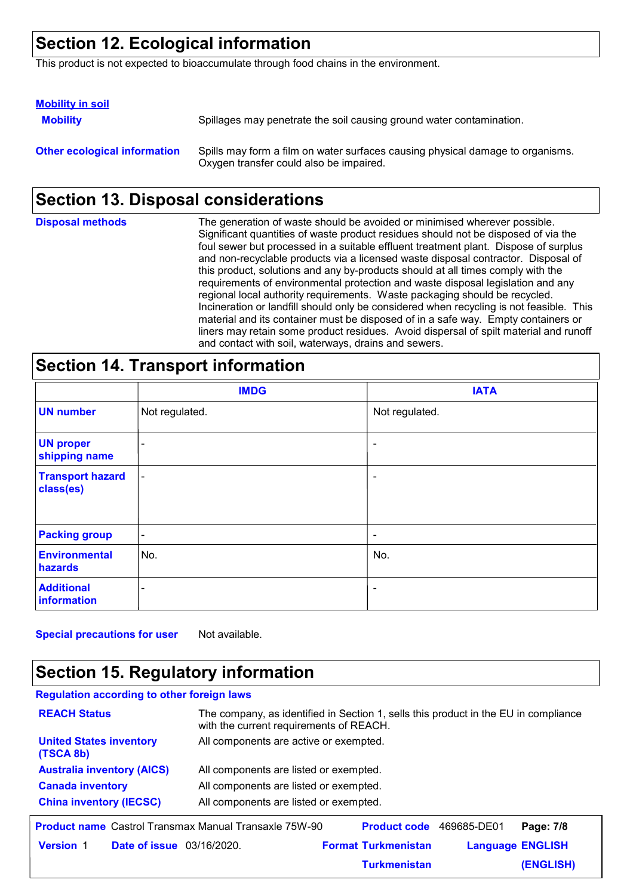# **Section 12. Ecological information**

This product is not expected to bioaccumulate through food chains in the environment.

| <b>Mobility in soil</b>             |                                                                                                                           |
|-------------------------------------|---------------------------------------------------------------------------------------------------------------------------|
| <b>Mobility</b>                     | Spillages may penetrate the soil causing ground water contamination.                                                      |
| <b>Other ecological information</b> | Spills may form a film on water surfaces causing physical damage to organisms.<br>Oxygen transfer could also be impaired. |

# **Section 13. Disposal considerations**

| <b>Disposal methods</b> | The generation of waste should be avoided or minimised wherever possible.<br>Significant quantities of waste product residues should not be disposed of via the<br>foul sewer but processed in a suitable effluent treatment plant. Dispose of surplus<br>and non-recyclable products via a licensed waste disposal contractor. Disposal of<br>this product, solutions and any by-products should at all times comply with the<br>requirements of environmental protection and waste disposal legislation and any<br>regional local authority requirements. Waste packaging should be recycled.<br>Incineration or landfill should only be considered when recycling is not feasible. This<br>material and its container must be disposed of in a safe way. Empty containers or<br>liners may retain some product residues. Avoid dispersal of spilt material and runoff |
|-------------------------|--------------------------------------------------------------------------------------------------------------------------------------------------------------------------------------------------------------------------------------------------------------------------------------------------------------------------------------------------------------------------------------------------------------------------------------------------------------------------------------------------------------------------------------------------------------------------------------------------------------------------------------------------------------------------------------------------------------------------------------------------------------------------------------------------------------------------------------------------------------------------|
|                         | and contact with soil, waterways, drains and sewers.                                                                                                                                                                                                                                                                                                                                                                                                                                                                                                                                                                                                                                                                                                                                                                                                                     |

### **Section 14. Transport information**

|                                      | <b>IMDG</b>              | <b>IATA</b>              |
|--------------------------------------|--------------------------|--------------------------|
| <b>UN number</b>                     | Not regulated.           | Not regulated.           |
| <b>UN proper</b><br>shipping name    | $\overline{\phantom{a}}$ | $\overline{\phantom{a}}$ |
| <b>Transport hazard</b><br>class(es) | $\overline{\phantom{a}}$ | $\overline{\phantom{a}}$ |
| <b>Packing group</b>                 | $\blacksquare$           | $\overline{\phantom{a}}$ |
| <b>Environmental</b><br>hazards      | No.                      | No.                      |
| <b>Additional</b><br>information     | $\overline{\phantom{a}}$ | $\overline{\phantom{a}}$ |

**Special precautions for user** Not available.

# **Section 15. Regulatory information**

| <b>Regulation according to other foreign laws</b>            |                                                                                                                                |  |
|--------------------------------------------------------------|--------------------------------------------------------------------------------------------------------------------------------|--|
| <b>REACH Status</b>                                          | The company, as identified in Section 1, sells this product in the EU in compliance<br>with the current requirements of REACH. |  |
| <b>United States inventory</b><br>(TSCA 8b)                  | All components are active or exempted.                                                                                         |  |
| <b>Australia inventory (AICS)</b>                            | All components are listed or exempted.                                                                                         |  |
| <b>Canada inventory</b>                                      | All components are listed or exempted.                                                                                         |  |
| <b>China inventory (IECSC)</b>                               | All components are listed or exempted.                                                                                         |  |
| <b>Product name</b> Castrol Transmax Manual Transaxle 75W-90 | <b>Product code</b><br>469685-DE01<br>Page: 7/8                                                                                |  |
| <b>Date of issue</b> 03/16/2020.<br><b>Version 1</b>         | <b>Language ENGLISH</b><br><b>Format Turkmenistan</b>                                                                          |  |

**Turkmenistan**

**(ENGLISH)**